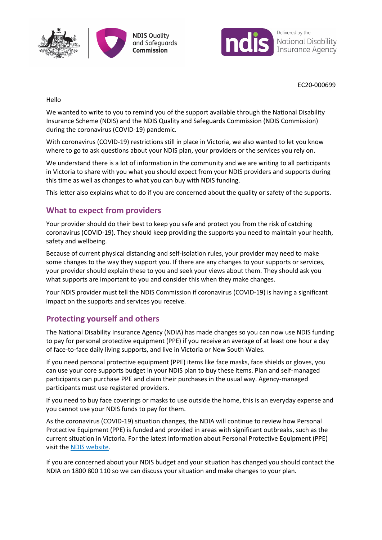



EC20-000699

Hello

We wanted to write to you to remind you of the support available through the National Disability Insurance Scheme (NDIS) and the NDIS Quality and Safeguards Commission (NDIS Commission) during the coronavirus (COVID-19) pandemic.

With coronavirus (COVID-19) restrictions still in place in Victoria, we also wanted to let you know where to go to ask questions about your NDIS plan, your providers or the services you rely on.

We understand there is a lot of information in the community and we are writing to all participants in Victoria to share with you what you should expect from your NDIS providers and supports during this time as well as changes to what you can buy with NDIS funding.

This letter also explains what to do if you are concerned about the quality or safety of the supports.

## **What to expect from providers**

Your provider should do their best to keep you safe and protect you from the risk of catching coronavirus (COVID-19). They should keep providing the supports you need to maintain your health, safety and wellbeing.

Because of current physical distancing and self-isolation rules, your provider may need to make some changes to the way they support you. If there are any changes to your supports or services, your provider should explain these to you and seek your views about them. They should ask you what supports are important to you and consider this when they make changes.

Your NDIS provider must tell the NDIS Commission if coronavirus (COVID-19) is having a significant impact on the supports and services you receive.

## **Protecting yourself and others**

The National Disability Insurance Agency (NDIA) has made changes so you can now use NDIS funding to pay for personal protective equipment (PPE) if you receive an average of at least one hour a day of face-to-face daily living supports, and live in Victoria or New South Wales.

If you need personal protective equipment (PPE) items like face masks, face shields or gloves, you can use your core supports budget in your NDIS plan to buy these items. Plan and self-managed participants can purchase PPE and claim their purchases in the usual way. Agency-managed participants must use registered providers.

If you need to buy face coverings or masks to use outside the home, this is an everyday expense and you cannot use your NDIS funds to pay for them.

As the coronavirus (COVID-19) situation changes, the NDIA will continue to review how Personal Protective Equipment (PPE) is funded and provided in areas with significant outbreaks, such as the current situation in Victoria. For the latest information about Personal Protective Equipment (PPE) visit the [NDIS website.](https://www.ndis.gov.au/coronavirus/latest-advice-ndis)

If you are concerned about your NDIS budget and your situation has changed you should contact the NDIA on 1800 800 110 so we can discuss your situation and make changes to your plan.